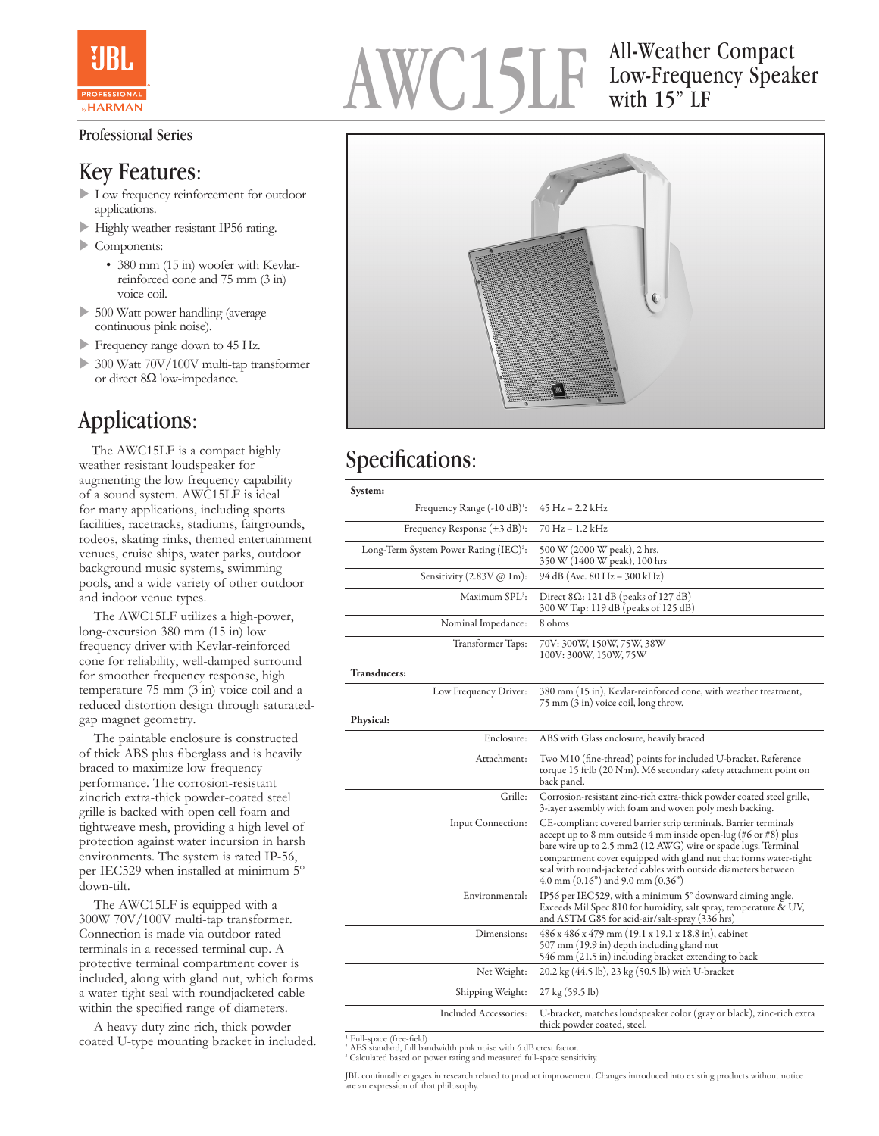

#### Professional Series

#### Key Features:

- u Low frequency reinforcement for outdoor applications.
- Highly weather-resistant IP56 rating.
- $\triangleright$  Components:
	- 380 mm (15 in) woofer with Kevlarreinforced cone and 75 mm (3 in) voice coil.
- 500 Watt power handling (average continuous pink noise).
- Frequency range down to 45 Hz.
- $\triangleright$  300 Watt 70V/100V multi-tap transformer or direct 8Ω low-impedance.

### Applications:

 The AWC15LF is a compact highly weather resistant loudspeaker for augmenting the low frequency capability of a sound system. AWC15LF is ideal for many applications, including sports facilities, racetracks, stadiums, fairgrounds, rodeos, skating rinks, themed entertainment venues, cruise ships, water parks, outdoor background music systems, swimming pools, and a wide variety of other outdoor and indoor venue types.

 The AWC15LF utilizes a high-power, long-excursion 380 mm (15 in) low frequency driver with Kevlar-reinforced cone for reliability, well-damped surround for smoother frequency response, high temperature 75 mm (3 in) voice coil and a reduced distortion design through saturatedgap magnet geometry.

 The paintable enclosure is constructed of thick ABS plus fiberglass and is heavily braced to maximize low-frequency performance. The corrosion-resistant zincrich extra-thick powder-coated steel grille is backed with open cell foam and tightweave mesh, providing a high level of protection against water incursion in harsh environments. The system is rated IP-56, per IEC529 when installed at minimum 5° down-tilt.

 The AWC15LF is equipped with a 300W 70V/100V multi-tap transformer. Connection is made via outdoor-rated terminals in a recessed terminal cup. A protective terminal compartment cover is included, along with gland nut, which forms a water-tight seal with roundjacketed cable within the specified range of diameters.

 A heavy-duty zinc-rich, thick powder coated U-type mounting bracket in included.

# AWC15LF All-Weather Compact

## Low-Frequency Speaker with 15" LF



#### Specifications:

| System:                                                 |                                                                                                                                                                                                                                                                                                                                                                                                     |
|---------------------------------------------------------|-----------------------------------------------------------------------------------------------------------------------------------------------------------------------------------------------------------------------------------------------------------------------------------------------------------------------------------------------------------------------------------------------------|
| Frequency Range (-10 dB) <sup>1</sup> :                 | 45 Hz - 2.2 kHz                                                                                                                                                                                                                                                                                                                                                                                     |
| Frequency Response $(\pm 3 \text{ dB})^1$ :             | 70 Hz – 1.2 kHz                                                                                                                                                                                                                                                                                                                                                                                     |
| Long-Term System Power Rating (IEC) <sup>2</sup> :      | 500 W (2000 W peak), 2 hrs.<br>350 W (1400 W peak), 100 hrs                                                                                                                                                                                                                                                                                                                                         |
| Sensitivity $(2.83V \, \textcircled{a} \, \text{1m})$ : | 94 dB (Ave. 80 Hz – 300 kHz)                                                                                                                                                                                                                                                                                                                                                                        |
| Maximum SPL <sup>3</sup> :                              | Direct $8\Omega$ : 121 dB (peaks of 127 dB)<br>300 W Tap: 119 dB (peaks of 125 dB)                                                                                                                                                                                                                                                                                                                  |
| Nominal Impedance:                                      | 8 ohms                                                                                                                                                                                                                                                                                                                                                                                              |
| Transformer Taps:                                       | 70V: 300W, 150W, 75W, 38W<br>100V: 300W, 150W, 75W                                                                                                                                                                                                                                                                                                                                                  |
| <b>Transducers:</b>                                     |                                                                                                                                                                                                                                                                                                                                                                                                     |
| Low Frequency Driver:                                   | 380 mm (15 in), Kevlar-reinforced cone, with weather treatment,<br>75 mm (3 in) voice coil, long throw.                                                                                                                                                                                                                                                                                             |
| Physical:                                               |                                                                                                                                                                                                                                                                                                                                                                                                     |
| Enclosure:                                              | ABS with Glass enclosure, heavily braced                                                                                                                                                                                                                                                                                                                                                            |
| Attachment:                                             | Two M10 (fine-thread) points for included U-bracket. Reference<br>torque 15 ft lb (20 N·m). M6 secondary safety attachment point on<br>back panel.                                                                                                                                                                                                                                                  |
| Grille:                                                 | Corrosion-resistant zinc-rich extra-thick powder coated steel grille,<br>3-layer assembly with foam and woven poly mesh backing.                                                                                                                                                                                                                                                                    |
| Input Connection:                                       | CE-compliant covered barrier strip terminals. Barrier terminals<br>accept up to 8 mm outside 4 mm inside open-lug (#6 or #8) plus<br>bare wire up to 2.5 mm2 (12 AWG) wire or spade lugs. Terminal<br>compartment cover equipped with gland nut that forms water-tight<br>seal with round-jacketed cables with outside diameters between<br>$4.0 \text{ mm } (0.16")$ and $9.0 \text{ mm } (0.36")$ |
| Environmental:                                          | IP56 per IEC529, with a minimum 5° downward aiming angle.<br>Exceeds Mil Spec 810 for humidity, salt spray, temperature & UV,<br>and ASTM G85 for acid-air/salt-spray (336 hrs)                                                                                                                                                                                                                     |
| Dimensions:                                             | 486 x 486 x 479 mm (19.1 x 19.1 x 18.8 in), cabinet<br>507 mm (19.9 in) depth including gland nut<br>546 mm (21.5 in) including bracket extending to back                                                                                                                                                                                                                                           |
| Net Weight:                                             | 20.2 kg (44.5 lb), 23 kg (50.5 lb) with U-bracket                                                                                                                                                                                                                                                                                                                                                   |
| Shipping Weight:                                        | 27 kg (59.5 lb)                                                                                                                                                                                                                                                                                                                                                                                     |
| Included Accessories:                                   | U-bracket, matches loudspeaker color (gray or black), zinc-rich extra<br>thick powder coated, steel.                                                                                                                                                                                                                                                                                                |

 $\overline{P}$  Full-space (free-field) 2 AES standard, full bandwidth pink noise with 6 dB crest factor.

3 Calculated based on power rating and measured full-space sensitivity.

JBL continually engages in research related to product improvement. Changes introduced into existing products without notice are an expression of that philosophy.